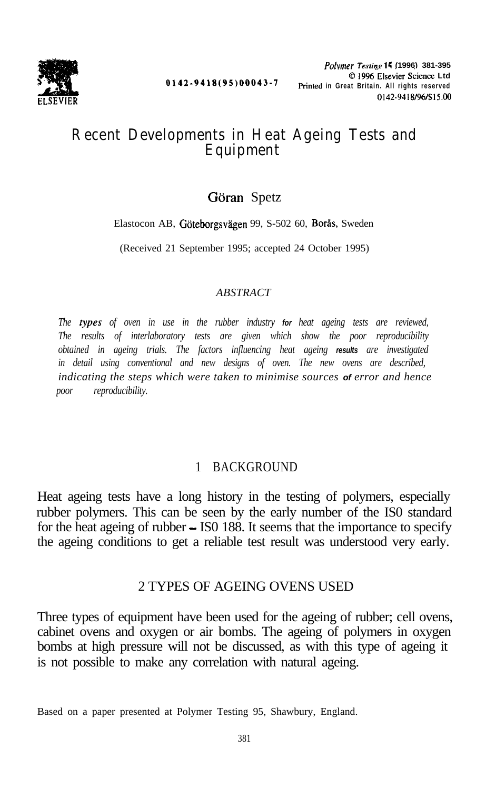

# **Recent Developments in Heat Ageing Tests and Equipment**

# Göran Spetz

Elastocon AB, Göteborgsvägen 99, S-502 60, Borås, Sweden

(Received 21 September 1995; accepted 24 October 1995)

#### *ABSTRACT*

*The apes of oven in use in the rubber industry for heat ageing tests are reviewed, The results of interlaboratory tests are given which show the poor reproducibility obtained in ageing trials. The factors influencing heat ageing results are investigated in detail using conventional and new designs of oven. The new ovens are described, indicating the steps which were taken to minimise sources of error and hence poor reproducibility.*

## 1 BACKGROUND

Heat ageing tests have a long history in the testing of polymers, especially rubber polymers. This can be seen by the early number of the IS0 standard for the heat ageing of rubber - ISO 188. It seems that the importance to specify the ageing conditions to get a reliable test result was understood very early.

### 2 TYPES OF AGEING OVENS USED

Three types of equipment have been used for the ageing of rubber; cell ovens, cabinet ovens and oxygen or air bombs. The ageing of polymers in oxygen bombs at high pressure will not be discussed, as with this type of ageing it is not possible to make any correlation with natural ageing.

Based on a paper presented at Polymer Testing 95, Shawbury, England.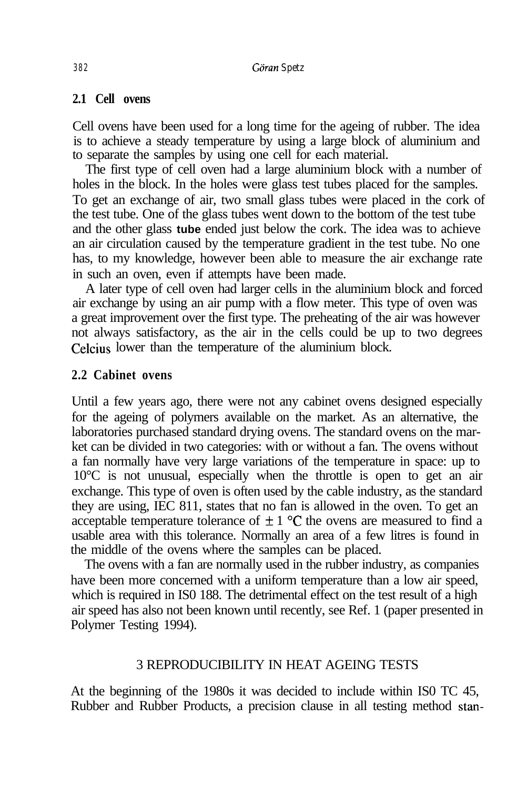### **2.1 Cell ovens**

Cell ovens have been used for a long time for the ageing of rubber. The idea is to achieve a steady temperature by using a large block of aluminium and to separate the samples by using one cell for each material.

The first type of cell oven had a large aluminium block with a number of holes in the block. In the holes were glass test tubes placed for the samples. To get an exchange of air, two small glass tubes were placed in the cork of the test tube. One of the glass tubes went down to the bottom of the test tube and the other glass **tube** ended just below the cork. The idea was to achieve an air circulation caused by the temperature gradient in the test tube. No one has, to my knowledge, however been able to measure the air exchange rate in such an oven, even if attempts have been made.

A later type of cell oven had larger cells in the aluminium block and forced air exchange by using an air pump with a flow meter. This type of oven was a great improvement over the first type. The preheating of the air was however not always satisfactory, as the air in the cells could be up to two degrees Celcius lower than the temperature of the aluminium block.

### **2.2 Cabinet ovens**

Until a few years ago, there were not any cabinet ovens designed especially for the ageing of polymers available on the market. As an alternative, the laboratories purchased standard drying ovens. The standard ovens on the market can be divided in two categories: with or without a fan. The ovens without a fan normally have very large variations of the temperature in space: up to  $10^{\circ}$ C is not unusual, especially when the throttle is open to get an air exchange. This type of oven is often used by the cable industry, as the standard they are using, IEC 811, states that no fan is allowed in the oven. To get an acceptable temperature tolerance of  $\pm 1$  °C the ovens are measured to find a usable area with this tolerance. Normally an area of a few litres is found in the middle of the ovens where the samples can be placed.

The ovens with a fan are normally used in the rubber industry, as companies have been more concerned with a uniform temperature than a low air speed, which is required in ISO 188. The detrimental effect on the test result of a high air speed has also not been known until recently, see Ref. 1 (paper presented in Polymer Testing 1994).

### 3 REPRODUCIBILITY IN HEAT AGEING TESTS

At the beginning of the 1980s it was decided to include within IS0 TC 45, Rubber and Rubber Products, a precision clause in all testing method stan-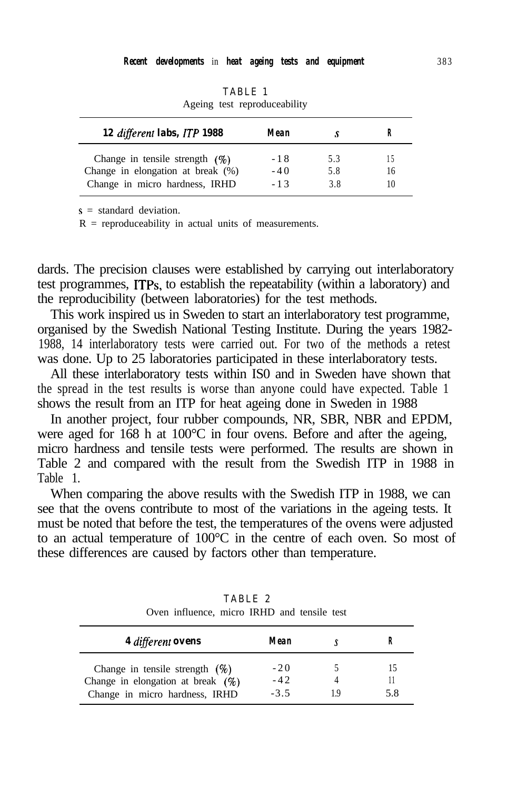| 12 different labs, ITP 1988        | Mean  |     |    |
|------------------------------------|-------|-----|----|
| Change in tensile strength $(\% )$ | -18   | 5.3 |    |
| Change in elongation at break (%)  | -40   | 5.8 | 16 |
| Change in micro hardness, IRHD     | $-13$ | 3 R |    |

**TABLE 1** Ageing test reproduceability

 $s =$  standard deviation.

 $R =$  reproduceability in actual units of measurements.

dards. The precision clauses were established by carrying out interlaboratory test programmes, ITPs, to establish the repeatability (within a laboratory) and the reproducibility (between laboratories) for the test methods.

This work inspired us in Sweden to start an interlaboratory test programme, organised by the Swedish National Testing Institute. During the years 1982- 1988, 14 interlaboratory tests were carried out. For two of the methods a retest was done. Up to 25 laboratories participated in these interlaboratory tests.

All these interlaboratory tests within IS0 and in Sweden have shown that the spread in the test results is worse than anyone could have expected. Table 1 shows the result from an ITP for heat ageing done in Sweden in 1988

In another project, four rubber compounds, NR, SBR, NBR and EPDM, were aged for 168 h at 100°C in four ovens. Before and after the ageing, micro hardness and tensile tests were performed. The results are shown in Table 2 and compared with the result from the Swedish ITP in 1988 in Table 1.

When comparing the above results with the Swedish ITP in 1988, we can see that the ovens contribute to most of the variations in the ageing tests. It must be noted that before the test, the temperatures of the ovens were adjusted to an actual temperature of 100°C in the centre of each oven. So most of these differences are caused by factors other than temperature.

| Oven immence, inicio initio and tensile test                                                                 |                          |    |           |  |  |
|--------------------------------------------------------------------------------------------------------------|--------------------------|----|-----------|--|--|
| 4 different ovens                                                                                            | Mean                     |    |           |  |  |
| Change in tensile strength $(\%)$<br>Change in elongation at break $(\% )$<br>Change in micro hardness, IRHD | $-20$<br>$-42$<br>$-3.5$ | 19 | 15<br>5.8 |  |  |

**TABLE 2** Oven influence, micro IRHD and tensile test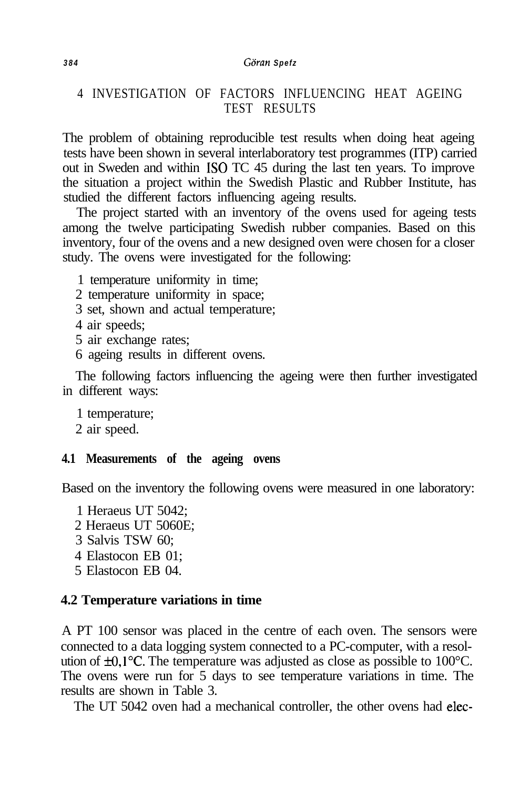#### **384** *Göran* Spefz

## 4 INVESTIGATION OF FACTORS INFLUENCING HEAT AGEING TEST RESULTS

The problem of obtaining reproducible test results when doing heat ageing tests have been shown in several interlaboratory test programmes (ITP) carried out in Sweden and within IS0 TC 45 during the last ten years. To improve the situation a project within the Swedish Plastic and Rubber Institute, has studied the different factors influencing ageing results.

The project started with an inventory of the ovens used for ageing tests among the twelve participating Swedish rubber companies. Based on this inventory, four of the ovens and a new designed oven were chosen for a closer study. The ovens were investigated for the following:

- 1 temperature uniformity in time;
- 2 temperature uniformity in space;
- 3 set, shown and actual temperature;
- 4 air speeds;
- 5 air exchange rates;
- 6 ageing results in different ovens.

The following factors influencing the ageing were then further investigated in different ways:

- 1 temperature;
- 2 air speed.

### **4.1 Measurements of the ageing ovens**

Based on the inventory the following ovens were measured in one laboratory:

- 1 Heraeus UT 5042;
- 2 Heraeus UT 5060E;
- 3 Salvis TSW 60;
- 4 Elastocon EB 01;
- 5 Elastocon EB 04.

#### **4.2 Temperature variations in time**

A PT 100 sensor was placed in the centre of each oven. The sensors were connected to a data logging system connected to a PC-computer, with a resolution of  $\pm 0$ , l<sup>o</sup>C. The temperature was adjusted as close as possible to 100<sup>o</sup>C. The ovens were run for 5 days to see temperature variations in time. The results are shown in Table 3.

The UT 5042 oven had a mechanical controller, the other ovens had elec-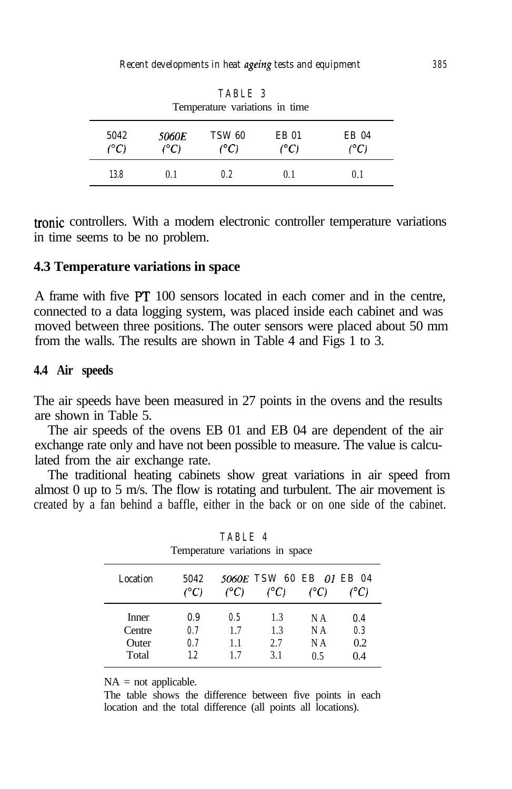| TABLE 3<br>Temperature variations in time |               |                       |                |               |  |  |
|-------------------------------------------|---------------|-----------------------|----------------|---------------|--|--|
| 5042<br>$(^{\circ}C)$                     | 5060E<br>(°C) | TSW 60<br>$C^{\circ}$ | EB 01<br>(°C)  | EB 04<br>(°C) |  |  |
| 13.8                                      | 0.1           | 02                    | 0 <sub>1</sub> | 0.1           |  |  |

tronic controllers. With a modem electronic controller temperature variations in time seems to be no problem.

#### **4.3 Temperature variations in space**

A frame with five PT 100 sensors located in each comer and in the centre, connected to a data logging system, was placed inside each cabinet and was moved between three positions. The outer sensors were placed about 50 mm from the walls. The results are shown in Table 4 and Figs 1 to 3.

#### **4.4 Air speeds**

The air speeds have been measured in 27 points in the ovens and the results are shown in Table 5.

The air speeds of the ovens EB 01 and EB 04 are dependent of the air exchange rate only and have not been possible to measure. The value is calculated from the air exchange rate.

The traditional heating cabinets show great variations in air speed from almost 0 up to 5 m/s. The flow is rotating and turbulent. The air movement is created by a fan behind a baffle, either in the back or on one side of the cabinet.

| remperature (animalia in opere |                       |               |                                           |               |              |
|--------------------------------|-----------------------|---------------|-------------------------------------------|---------------|--------------|
| Location                       | 5042<br>$(^{\circ}C)$ | $(^{\circ}C)$ | 5060E TSW 60 EB 01 EB 04<br>$(^{\circ}C)$ | $(^{\circ}C)$ | $(^\circ C)$ |
| <b>Inner</b>                   | 0.9                   | 0.5           | 1.3                                       |               |              |
|                                |                       |               |                                           | N A           | 0.4          |
| Centre                         | 0.7                   | 17            | 1.3                                       | N A           | 0.3          |
| Outer                          | 0.7                   | 11            | 2.7                                       | N A           | 0.2          |
| Total                          | 12                    | 17            | 3.1                                       | 0.5           | 0.4          |

**TABLE 4** Temperature variations in space

 $NA = not applicable.$ 

The table shows the difference between five points in each location and the total difference (all points all locations).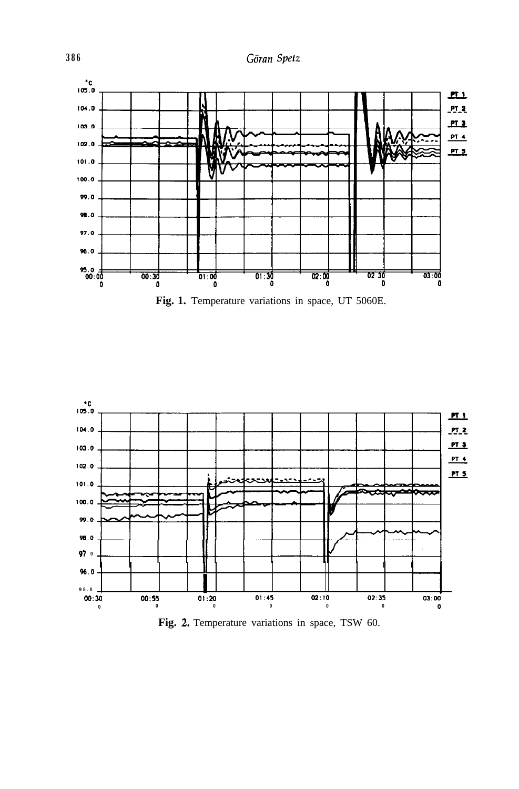

Fig. 1. Temperature variations in space, UT 5060E.





386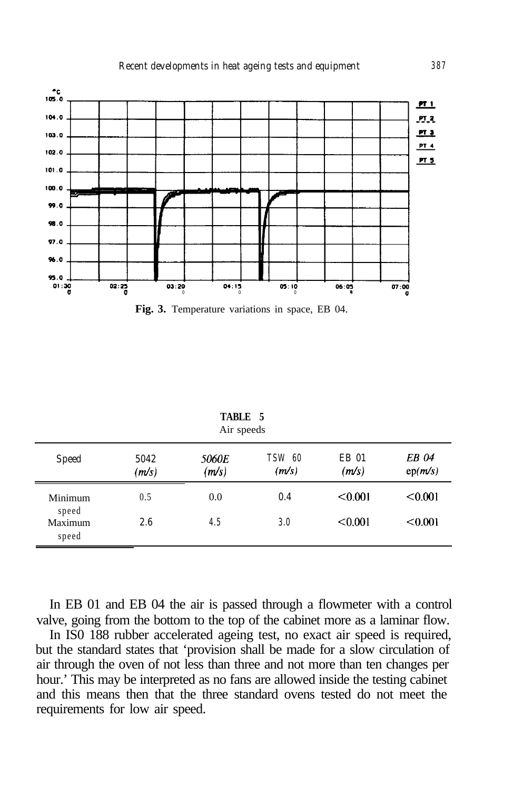

**Fig. 3.** Temperature variations in space, EB 04.

| TABLE 5    |  |
|------------|--|
| Air speeds |  |

| <i>Speed</i>              | 5042<br>(m/s) | <i>5060E</i><br>(m/s) | TSW 60<br>(m/s) | EB 01<br>(m/s) | EB 04<br>ep(m/s) |
|---------------------------|---------------|-----------------------|-----------------|----------------|------------------|
| Minimum                   | 0.5           | 0.0                   | 0.4             | < 0.001        | < 0.001          |
| speed<br>Maximum<br>speed | 2.6           | 4.5                   | 3.0             | < 0.001        | < 0.001          |

In EB 01 and EB 04 the air is passed through a flowmeter with a control valve, going from the bottom to the top of the cabinet more as a laminar flow.

In IS0 188 rubber accelerated ageing test, no exact air speed is required, but the standard states that 'provision shall be made for a slow circulation of air through the oven of not less than three and not more than ten changes per hour.' This may be interpreted as no fans are allowed inside the testing cabinet and this means then that the three standard ovens tested do not meet the requirements for low air speed.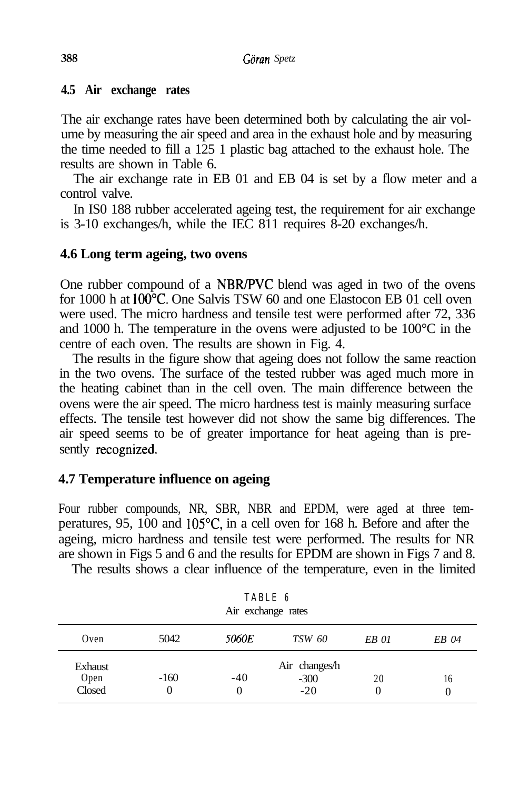### **4.5 Air exchange rates**

The air exchange rates have been determined both by calculating the air volume by measuring the air speed and area in the exhaust hole and by measuring the time needed to fill a 125 1 plastic bag attached to the exhaust hole. The results are shown in Table 6.

The air exchange rate in EB 01 and EB 04 is set by a flow meter and a control valve.

In IS0 188 rubber accelerated ageing test, the requirement for air exchange is 3-10 exchanges/h, while the IEC 811 requires 8-20 exchanges/h.

### **4.6 Long term ageing, two ovens**

One rubber compound of a NBR/PVC blend was aged in two of the ovens for 1000 h at 100°C. One Salvis TSW 60 and one Elastocon EB 01 cell oven were used. The micro hardness and tensile test were performed after 72, 336 and 1000 h. The temperature in the ovens were adjusted to be 100°C in the centre of each oven. The results are shown in Fig. 4.

The results in the figure show that ageing does not follow the same reaction in the two ovens. The surface of the tested rubber was aged much more in the heating cabinet than in the cell oven. The main difference between the ovens were the air speed. The micro hardness test is mainly measuring surface effects. The tensile test however did not show the same big differences. The air speed seems to be of greater importance for heat ageing than is presently recognized.

### **4.7 Temperature influence on ageing**

Four rubber compounds, NR, SBR, NBR and EPDM, were aged at three temperatures, 95, 100 and 105"C, in a cell oven for 168 h. Before and after the ageing, micro hardness and tensile test were performed. The results for NR are shown in Figs 5 and 6 and the results for EPDM are shown in Figs 7 and 8.

The results shows a clear influence of the temperature, even in the limited

| TABLE 6<br>Air exchange rates |                    |                   |                                  |       |         |  |
|-------------------------------|--------------------|-------------------|----------------------------------|-------|---------|--|
| Oven                          | 5042               | 5060E             | <b>TSW 60</b>                    | EB 01 | EB 04   |  |
| Exhaust<br>Open<br>Closed     | $-160$<br>$\theta$ | $-40$<br>$\Omega$ | Air changes/h<br>$-300$<br>$-20$ | 20    | 16<br>0 |  |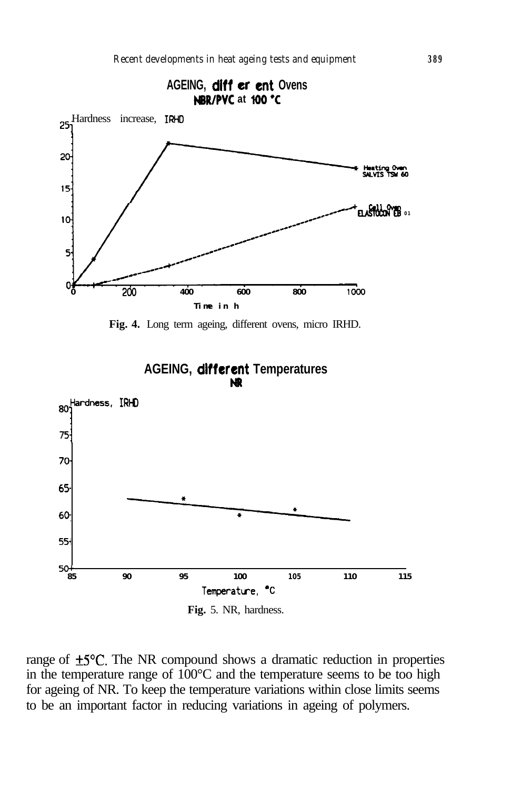

**Fig. 4.** Long term ageing, different ovens, micro IRHD.



range of  $\pm 5^{\circ}$ C. The NR compound shows a dramatic reduction in properties in the temperature range of 100°C and the temperature seems to be too high for ageing of NR. To keep the temperature variations within close limits seems to be an important factor in reducing variations in ageing of polymers.

### AGEING, different Temperatures **NR**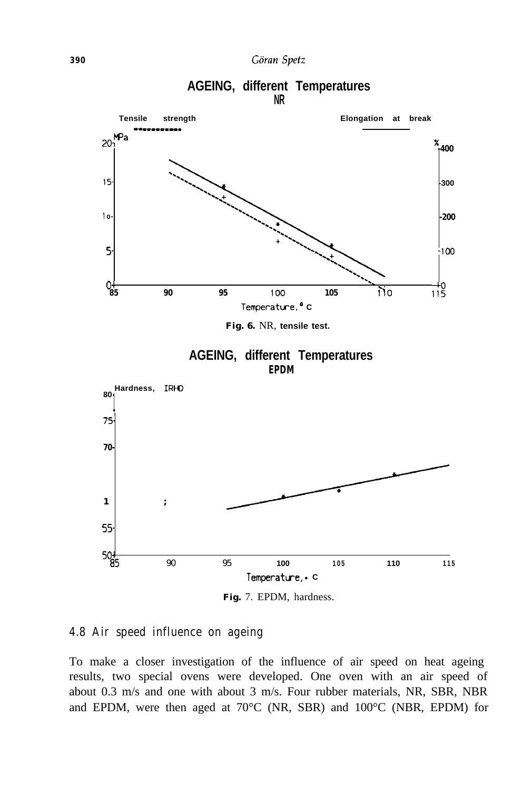

AGEING, different Temperatures NR

Fig. 7. EPDM, hardness.

### 4.8 Air speed influence on ageing

To make a closer investigation of the influence of air speed on heat ageing results, two special ovens were developed. One oven with an air speed of about 0.3 m/s and one with about 3 m/s. Four rubber materials, NR, SBR, NBR and EPDM, were then aged at 70°C (NR, SBR) and 100°C (NBR, EPDM) for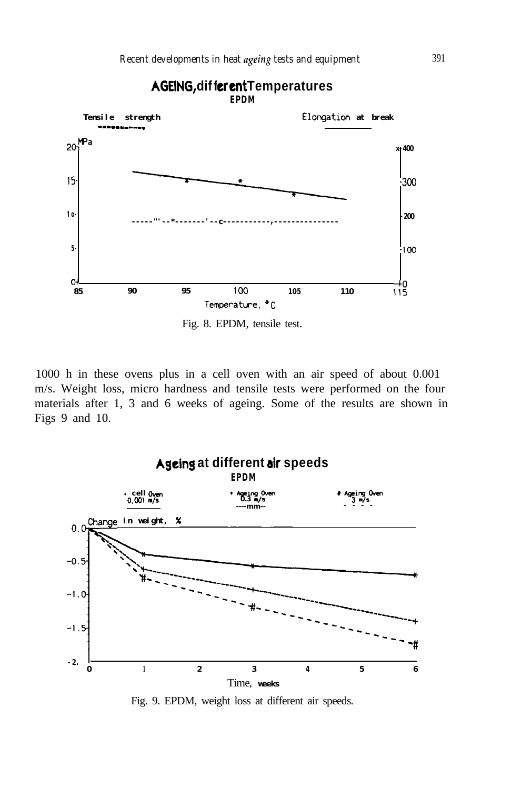

Fig. 8. EPDM, tensile test.

1000 h in these ovens plus in a cell oven with an air speed of about 0.001 m/s. Weight loss, micro hardness and tensile tests were performed on the four materials after 1, 3 and 6 weeks of ageing. Some of the results are shown in Figs 9 and 10.



Fig. 9. EPDM, weight loss at different air speeds.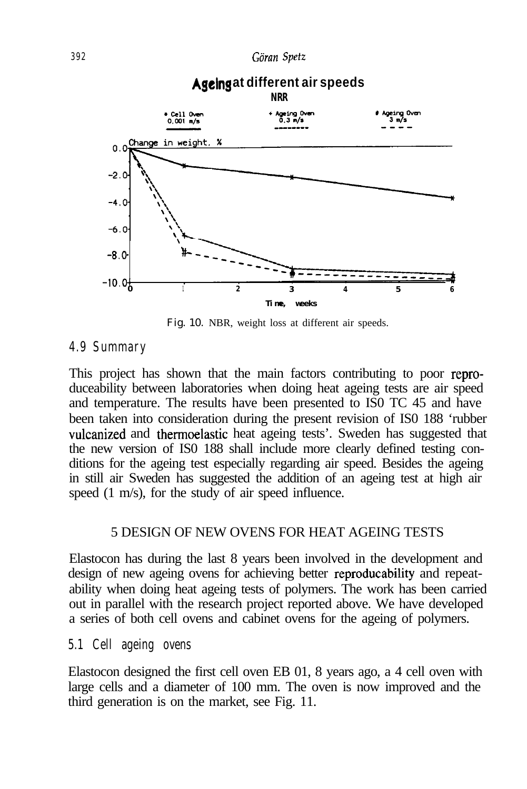

# **Agtlng at different air speeds**

Fig. 10. NBR, weight loss at different air speeds.

### **4.9 Summary**

This project has shown that the main factors contributing to poor reproduceability between laboratories when doing heat ageing tests are air speed and temperature. The results have been presented to IS0 TC 45 and have been taken into consideration during the present revision of IS0 188 'rubber vulcanized and thermoelastic heat ageing tests'. Sweden has suggested that the new version of IS0 188 shall include more clearly defined testing conditions for the ageing test especially regarding air speed. Besides the ageing in still air Sweden has suggested the addition of an ageing test at high air speed (1 m/s), for the study of air speed influence.

### 5 DESIGN OF NEW OVENS FOR HEAT AGEING TESTS

Elastocon has during the last 8 years been involved in the development and design of new ageing ovens for achieving better reproducability and repeatability when doing heat ageing tests of polymers. The work has been carried out in parallel with the research project reported above. We have developed a series of both cell ovens and cabinet ovens for the ageing of polymers.

### **5.1 Cell ageing ovens**

Elastocon designed the first cell oven EB 01, 8 years ago, a 4 cell oven with large cells and a diameter of 100 mm. The oven is now improved and the third generation is on the market, see Fig. 11.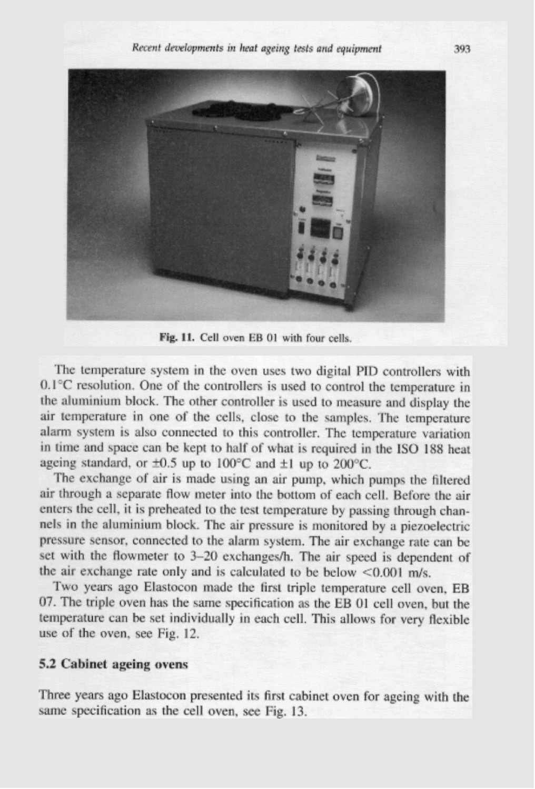

Fig. 11. Cell oven EB 01 with four cells.

The temperature system in the oven uses two digital PID controllers with 0.1°C resolution. One of the controllers is used to control the temperature in the aluminium block. The other controller is used to measure and display the air temperature in one of the cells, close to the samples. The temperature alarm system is also connected to this controller. The temperature variation in time and space can be kept to half of what is required in the ISO 188 heat ageing standard, or  $\pm 0.5$  up to 100°C and  $\pm 1$  up to 200°C.

The exchange of air is made using an air pump, which pumps the filtered air through a separate flow meter into the bottom of each cell. Before the air enters the cell, it is preheated to the test temperature by passing through channels in the aluminium block. The air pressure is monitored by a piezoelectric pressure sensor, connected to the alarm system. The air exchange rate can be set with the flowmeter to 3-20 exchanges/h. The air speed is dependent of the air exchange rate only and is calculated to be below  $\leq 0.001$  m/s.

Two years ago Elastocon made the first triple temperature cell oven, EB 07. The triple oven has the same specification as the EB 01 cell oven, but the temperature can be set individually in each cell. This allows for very flexible use of the oven, see Fig. 12.

#### 5.2 Cabinet ageing ovens

Three years ago Elastocon presented its first cabinet oven for ageing with the same specification as the cell oven, see Fig. 13.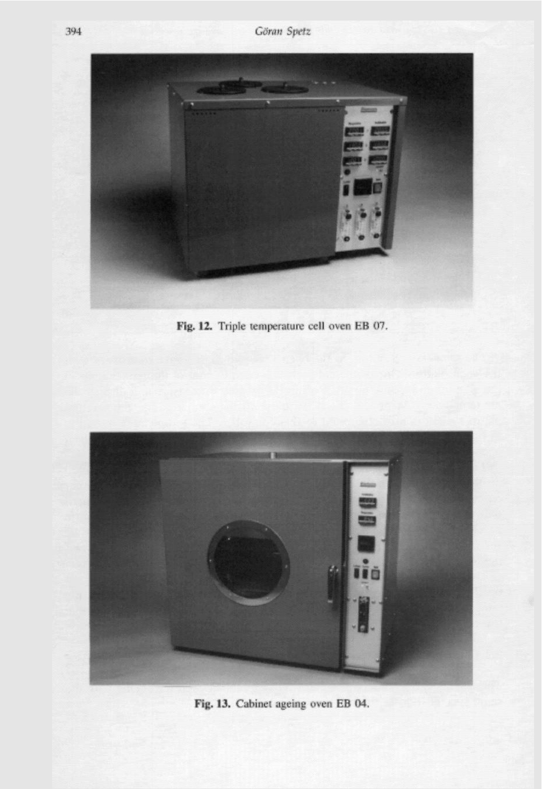